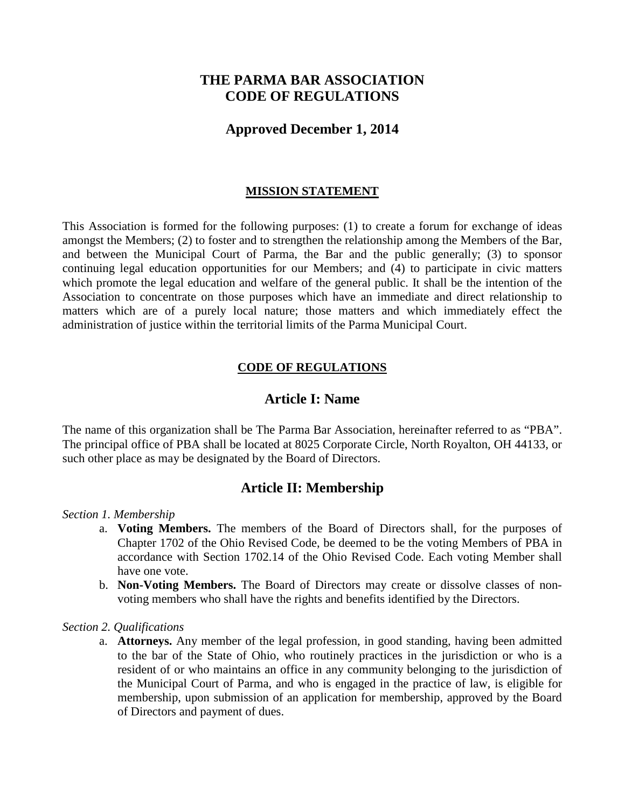# **THE PARMA BAR ASSOCIATION CODE OF REGULATIONS**

## **Approved December 1, 2014**

## **MISSION STATEMENT**

This Association is formed for the following purposes: (1) to create a forum for exchange of ideas amongst the Members; (2) to foster and to strengthen the relationship among the Members of the Bar, and between the Municipal Court of Parma, the Bar and the public generally; (3) to sponsor continuing legal education opportunities for our Members; and (4) to participate in civic matters which promote the legal education and welfare of the general public. It shall be the intention of the Association to concentrate on those purposes which have an immediate and direct relationship to matters which are of a purely local nature; those matters and which immediately effect the administration of justice within the territorial limits of the Parma Municipal Court.

## **CODE OF REGULATIONS**

## **Article I: Name**

The name of this organization shall be The Parma Bar Association, hereinafter referred to as "PBA". The principal office of PBA shall be located at 8025 Corporate Circle, North Royalton, OH 44133, or such other place as may be designated by the Board of Directors.

## **Article II: Membership**

#### *Section 1. Membership*

- a. **Voting Members.** The members of the Board of Directors shall, for the purposes of Chapter 1702 of the Ohio Revised Code, be deemed to be the voting Members of PBA in accordance with Section 1702.14 of the Ohio Revised Code. Each voting Member shall have one vote.
- b. **Non-Voting Members.** The Board of Directors may create or dissolve classes of nonvoting members who shall have the rights and benefits identified by the Directors.

#### *Section 2. Qualifications*

a. **Attorneys.** Any member of the legal profession, in good standing, having been admitted to the bar of the State of Ohio, who routinely practices in the jurisdiction or who is a resident of or who maintains an office in any community belonging to the jurisdiction of the Municipal Court of Parma, and who is engaged in the practice of law, is eligible for membership, upon submission of an application for membership, approved by the Board of Directors and payment of dues.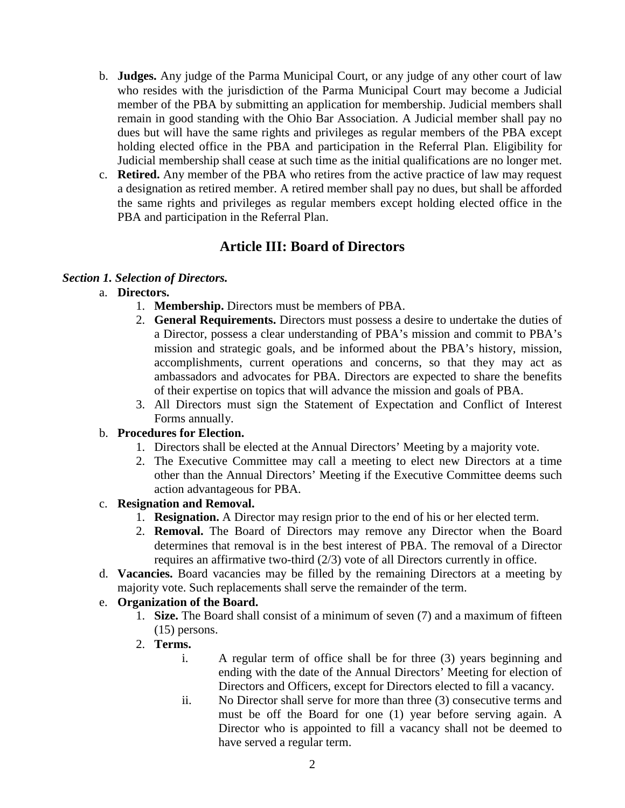- b. **Judges.** Any judge of the Parma Municipal Court, or any judge of any other court of law who resides with the jurisdiction of the Parma Municipal Court may become a Judicial member of the PBA by submitting an application for membership. Judicial members shall remain in good standing with the Ohio Bar Association. A Judicial member shall pay no dues but will have the same rights and privileges as regular members of the PBA except holding elected office in the PBA and participation in the Referral Plan. Eligibility for Judicial membership shall cease at such time as the initial qualifications are no longer met.
- c. **Retired.** Any member of the PBA who retires from the active practice of law may request a designation as retired member. A retired member shall pay no dues, but shall be afforded the same rights and privileges as regular members except holding elected office in the PBA and participation in the Referral Plan.

# **Article III: Board of Directors**

## *Section 1. Selection of Directors.*

- a. **Directors.**
	- 1. **Membership.** Directors must be members of PBA.
	- 2. **General Requirements.** Directors must possess a desire to undertake the duties of a Director, possess a clear understanding of PBA's mission and commit to PBA's mission and strategic goals, and be informed about the PBA's history, mission, accomplishments, current operations and concerns, so that they may act as ambassadors and advocates for PBA. Directors are expected to share the benefits of their expertise on topics that will advance the mission and goals of PBA.
	- 3. All Directors must sign the Statement of Expectation and Conflict of Interest Forms annually.

## b. **Procedures for Election.**

- 1. Directors shall be elected at the Annual Directors' Meeting by a majority vote.
- 2. The Executive Committee may call a meeting to elect new Directors at a time other than the Annual Directors' Meeting if the Executive Committee deems such action advantageous for PBA.

## c. **Resignation and Removal.**

- 1. **Resignation.** A Director may resign prior to the end of his or her elected term.
- 2. **Removal.** The Board of Directors may remove any Director when the Board determines that removal is in the best interest of PBA. The removal of a Director requires an affirmative two-third (2/3) vote of all Directors currently in office.
- d. **Vacancies.** Board vacancies may be filled by the remaining Directors at a meeting by majority vote. Such replacements shall serve the remainder of the term.

#### e. **Organization of the Board.**

- 1. **Size.** The Board shall consist of a minimum of seven (7) and a maximum of fifteen (15) persons.
- 2. **Terms.**
	- i. A regular term of office shall be for three (3) years beginning and ending with the date of the Annual Directors' Meeting for election of Directors and Officers, except for Directors elected to fill a vacancy.
	- ii. No Director shall serve for more than three (3) consecutive terms and must be off the Board for one (1) year before serving again. A Director who is appointed to fill a vacancy shall not be deemed to have served a regular term.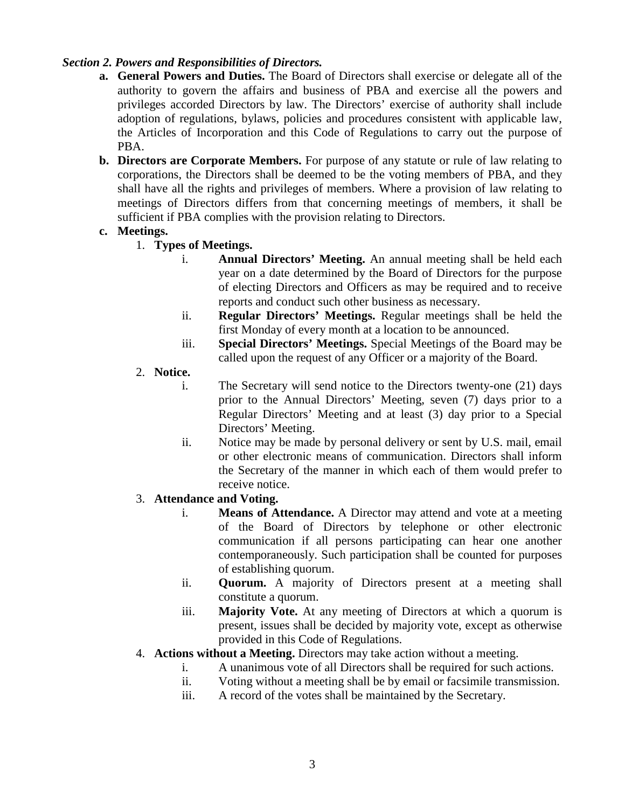## *Section 2. Powers and Responsibilities of Directors.*

- **a. General Powers and Duties.** The Board of Directors shall exercise or delegate all of the authority to govern the affairs and business of PBA and exercise all the powers and privileges accorded Directors by law. The Directors' exercise of authority shall include adoption of regulations, bylaws, policies and procedures consistent with applicable law, the Articles of Incorporation and this Code of Regulations to carry out the purpose of PBA.
- **b. Directors are Corporate Members.** For purpose of any statute or rule of law relating to corporations, the Directors shall be deemed to be the voting members of PBA, and they shall have all the rights and privileges of members. Where a provision of law relating to meetings of Directors differs from that concerning meetings of members, it shall be sufficient if PBA complies with the provision relating to Directors.

## **c. Meetings.**

- 1. **Types of Meetings.** 
	- i. **Annual Directors' Meeting.** An annual meeting shall be held each year on a date determined by the Board of Directors for the purpose of electing Directors and Officers as may be required and to receive reports and conduct such other business as necessary.
	- ii. **Regular Directors' Meetings.** Regular meetings shall be held the first Monday of every month at a location to be announced.
	- iii. **Special Directors' Meetings.** Special Meetings of the Board may be called upon the request of any Officer or a majority of the Board.
- 2. **Notice.**
	- i. The Secretary will send notice to the Directors twenty-one (21) days prior to the Annual Directors' Meeting, seven (7) days prior to a Regular Directors' Meeting and at least (3) day prior to a Special Directors' Meeting.
	- ii. Notice may be made by personal delivery or sent by U.S. mail, email or other electronic means of communication. Directors shall inform the Secretary of the manner in which each of them would prefer to receive notice.

## 3. **Attendance and Voting.**

- i. **Means of Attendance.** A Director may attend and vote at a meeting of the Board of Directors by telephone or other electronic communication if all persons participating can hear one another contemporaneously. Such participation shall be counted for purposes of establishing quorum.
- ii. **Quorum.** A majority of Directors present at a meeting shall constitute a quorum.
- iii. **Majority Vote.** At any meeting of Directors at which a quorum is present, issues shall be decided by majority vote, except as otherwise provided in this Code of Regulations.
- 4. **Actions without a Meeting.** Directors may take action without a meeting.
	- i. A unanimous vote of all Directors shall be required for such actions.
	- ii. Voting without a meeting shall be by email or facsimile transmission.
	- iii. A record of the votes shall be maintained by the Secretary.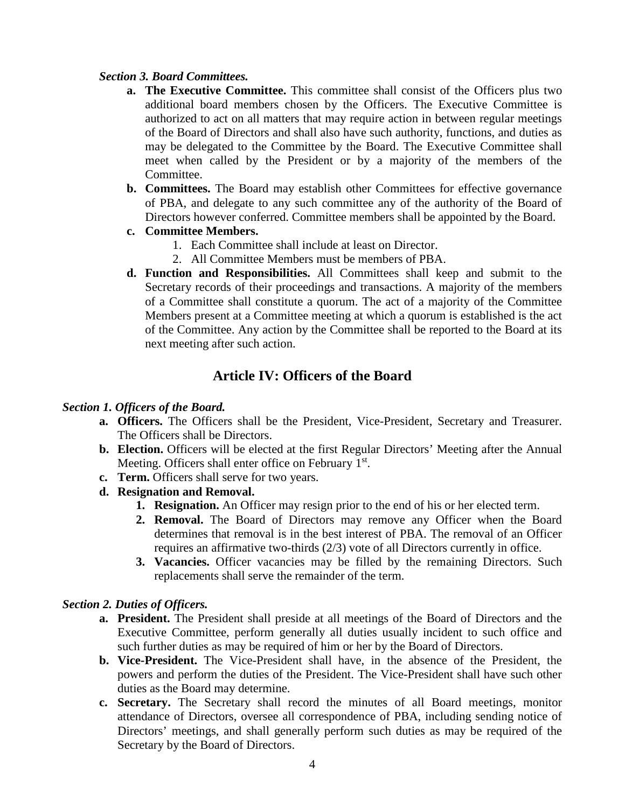### *Section 3. Board Committees.*

- **a. The Executive Committee.** This committee shall consist of the Officers plus two additional board members chosen by the Officers. The Executive Committee is authorized to act on all matters that may require action in between regular meetings of the Board of Directors and shall also have such authority, functions, and duties as may be delegated to the Committee by the Board. The Executive Committee shall meet when called by the President or by a majority of the members of the Committee.
- **b. Committees.** The Board may establish other Committees for effective governance of PBA, and delegate to any such committee any of the authority of the Board of Directors however conferred. Committee members shall be appointed by the Board.
- **c. Committee Members.** 
	- 1. Each Committee shall include at least on Director.
	- 2. All Committee Members must be members of PBA.
- **d. Function and Responsibilities.** All Committees shall keep and submit to the Secretary records of their proceedings and transactions. A majority of the members of a Committee shall constitute a quorum. The act of a majority of the Committee Members present at a Committee meeting at which a quorum is established is the act of the Committee. Any action by the Committee shall be reported to the Board at its next meeting after such action.

## **Article IV: Officers of the Board**

#### *Section 1. Officers of the Board.*

- **a. Officers.** The Officers shall be the President, Vice-President, Secretary and Treasurer. The Officers shall be Directors.
- **b. Election.** Officers will be elected at the first Regular Directors' Meeting after the Annual Meeting. Officers shall enter office on February 1<sup>st</sup>.
- **c. Term.** Officers shall serve for two years.
- **d. Resignation and Removal.** 
	- **1. Resignation.** An Officer may resign prior to the end of his or her elected term.
	- **2. Removal.** The Board of Directors may remove any Officer when the Board determines that removal is in the best interest of PBA. The removal of an Officer requires an affirmative two-thirds (2/3) vote of all Directors currently in office.
	- **3. Vacancies.** Officer vacancies may be filled by the remaining Directors. Such replacements shall serve the remainder of the term.

#### *Section 2. Duties of Officers.*

- **a. President.** The President shall preside at all meetings of the Board of Directors and the Executive Committee, perform generally all duties usually incident to such office and such further duties as may be required of him or her by the Board of Directors.
- **b. Vice-President.** The Vice-President shall have, in the absence of the President, the powers and perform the duties of the President. The Vice-President shall have such other duties as the Board may determine.
- **c. Secretary.** The Secretary shall record the minutes of all Board meetings, monitor attendance of Directors, oversee all correspondence of PBA, including sending notice of Directors' meetings, and shall generally perform such duties as may be required of the Secretary by the Board of Directors.